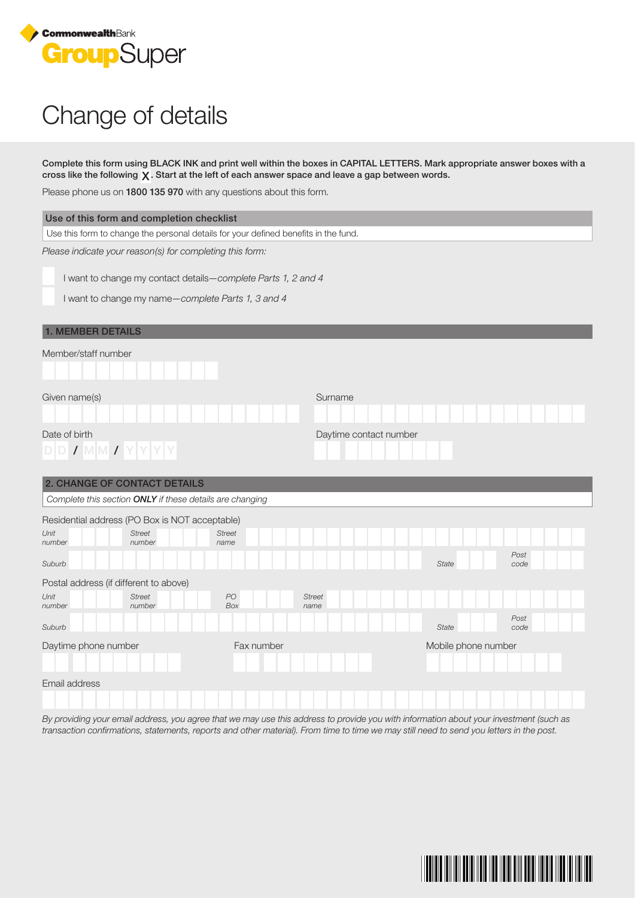

## Change of details

Complete this form using BLACK INK and print well within the boxes in CAPITAL LETTERS. Mark appropriate answer boxes with a cross like the following  $X$ . Start at the left of each answer space and leave a gap between words.

Please phone us on **1800 135 970** with any questions about this form.

|                                                                                     | Please priorie us on <b>TOOO TSS 970</b> with any questions about this form. |                        |                              |  |  |  |  |
|-------------------------------------------------------------------------------------|------------------------------------------------------------------------------|------------------------|------------------------------|--|--|--|--|
| Use of this form and completion checklist                                           |                                                                              |                        |                              |  |  |  |  |
| Use this form to change the personal details for your defined benefits in the fund. |                                                                              |                        |                              |  |  |  |  |
| Please indicate your reason(s) for completing this form:                            |                                                                              |                        |                              |  |  |  |  |
| I want to change my contact details-complete Parts 1, 2 and 4                       |                                                                              |                        |                              |  |  |  |  |
|                                                                                     |                                                                              |                        |                              |  |  |  |  |
| I want to change my name-complete Parts 1, 3 and 4                                  |                                                                              |                        |                              |  |  |  |  |
| <b>1. MEMBER DETAILS</b>                                                            |                                                                              |                        |                              |  |  |  |  |
| Member/staff number                                                                 |                                                                              |                        |                              |  |  |  |  |
|                                                                                     |                                                                              |                        |                              |  |  |  |  |
| Given name(s)                                                                       |                                                                              | Surname                |                              |  |  |  |  |
|                                                                                     |                                                                              |                        |                              |  |  |  |  |
| Date of birth<br>$D D J M M J Y Y Y Y$                                              |                                                                              | Daytime contact number |                              |  |  |  |  |
| 2. CHANGE OF CONTACT DETAILS                                                        |                                                                              |                        |                              |  |  |  |  |
|                                                                                     | Complete this section ONLY if these details are changing                     |                        |                              |  |  |  |  |
| Residential address (PO Box is NOT acceptable)                                      |                                                                              |                        |                              |  |  |  |  |
| Unit<br><b>Street</b><br>number<br>number                                           | <b>Street</b><br>name                                                        |                        |                              |  |  |  |  |
| Suburb                                                                              |                                                                              |                        | Post<br><b>State</b><br>code |  |  |  |  |
| Postal address (if different to above)                                              |                                                                              |                        |                              |  |  |  |  |
| Unit<br><b>Street</b><br>number<br>number                                           | PO<br>Box                                                                    | <b>Street</b><br>name  |                              |  |  |  |  |
| Suburb                                                                              |                                                                              |                        | Post<br><b>State</b><br>code |  |  |  |  |
| Daytime phone number                                                                | Fax number                                                                   |                        | Mobile phone number          |  |  |  |  |
|                                                                                     |                                                                              |                        |                              |  |  |  |  |
| Email address                                                                       |                                                                              |                        |                              |  |  |  |  |

By providing your email address, you agree that we may use this address to provide you with information about your investment (such as transaction confirmations, statements, reports and other material). From time to time we may still need to send you letters in the post.